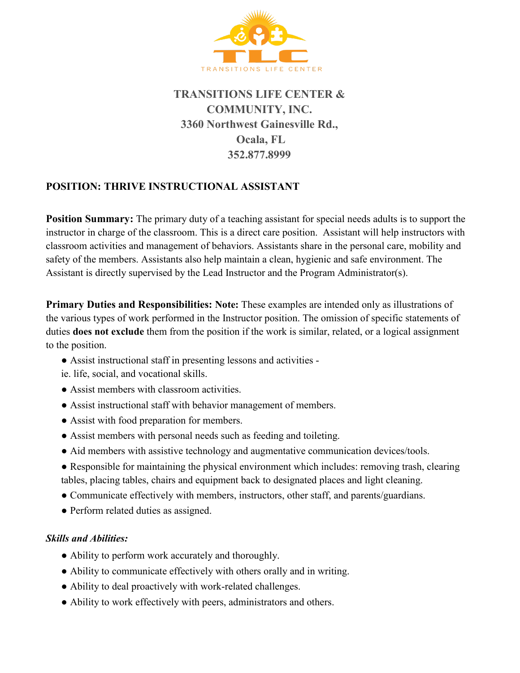

## **TRANSITIONS LIFE CENTER & COMMUNITY, INC. 3360 Northwest Gainesville Rd., Ocala, FL 352.877.8999**

## **POSITION: THRIVE INSTRUCTIONAL ASSISTANT**

**Position Summary:** The primary duty of a teaching assistant for special needs adults is to support the instructor in charge of the classroom. This is a direct care position. Assistant will help instructors with classroom activities and management of behaviors. Assistants share in the personal care, mobility and safety of the members. Assistants also help maintain a clean, hygienic and safe environment. The Assistant is directly supervised by the Lead Instructor and the Program Administrator(s).

**Primary Duties and Responsibilities: Note:** These examples are intended only as illustrations of the various types of work performed in the Instructor position. The omission of specific statements of duties **does not exclude** them from the position if the work is similar, related, or a logical assignment to the position.

- Assist instructional staff in presenting lessons and activities -
- ie. life, social, and vocational skills.
- Assist members with classroom activities.
- Assist instructional staff with behavior management of members.
- Assist with food preparation for members.
- Assist members with personal needs such as feeding and toileting.
- Aid members with assistive technology and augmentative communication devices/tools.
- Responsible for maintaining the physical environment which includes: removing trash, clearing tables, placing tables, chairs and equipment back to designated places and light cleaning.
- Communicate effectively with members, instructors, other staff, and parents/guardians.
- Perform related duties as assigned.

## *Skills and Abilities:*

- Ability to perform work accurately and thoroughly.
- Ability to communicate effectively with others orally and in writing.
- Ability to deal proactively with work-related challenges.
- Ability to work effectively with peers, administrators and others.